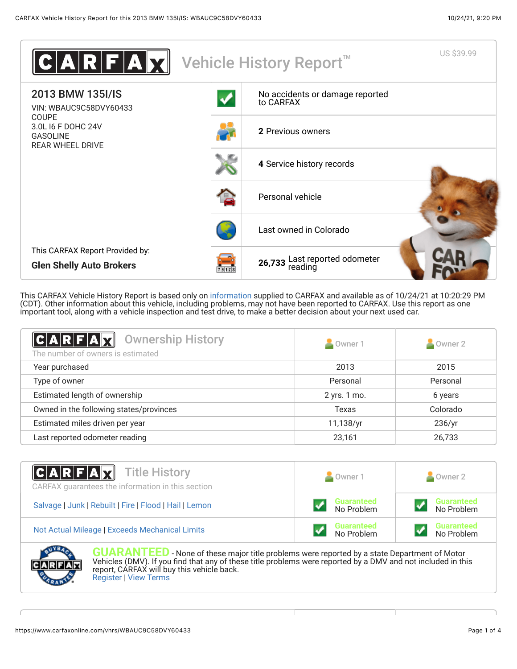

This CARFAX Vehicle History Report is based only on [information](http://www.carfax.com/company/vhr-data-sources) supplied to CARFAX and available as of 10/24/21 at 10:20:29 PM (CDT). Other information about this vehicle, including problems, may not have been reported to CARFAX. Use this report as one important tool, along with a vehicle inspection and test drive, to make a better decision about your next used car.

<span id="page-0-0"></span>

| <b>Ownership History</b><br>$A$ $R$ $F$ $A$ $T$<br>The number of owners is estimated | Owner 1      | Owner 2  |
|--------------------------------------------------------------------------------------|--------------|----------|
| Year purchased                                                                       | 2013         | 2015     |
| Type of owner                                                                        | Personal     | Personal |
| Estimated length of ownership                                                        | 2 yrs. 1 mo. | 6 years  |
| Owned in the following states/provinces                                              | Texas        | Colorado |
| Estimated miles driven per year                                                      | 11,138/yr    | 236/yr   |
| Last reported odometer reading                                                       | 23.161       | 26,733   |

| $ C A R F A \overline{X}$ Title History<br>CARFAX guarantees the information in this section | Owner 1                         | Owner 2                         |
|----------------------------------------------------------------------------------------------|---------------------------------|---------------------------------|
| Salvage   Junk   Rebuilt   Fire   Flood   Hail   Lemon                                       | <b>Guaranteed</b><br>No Problem | <b>Guaranteed</b><br>No Problem |
| Not Actual Mileage   Exceeds Mechanical Limits                                               | <b>Guaranteed</b><br>No Problem | <b>Guaranteed</b><br>No Problem |



**GUARANTEED** - None of these major title problems were reported by a state Department of Motor Vehicles (DMV). If you find that any of these title problems were reported by a DMV and not included in this report, CARFAX will buy this vehicle back. [Register](https://www.carfax.com/Service/bbg) | [View Terms](http://www.carfaxonline.com/legal/bbgTerms)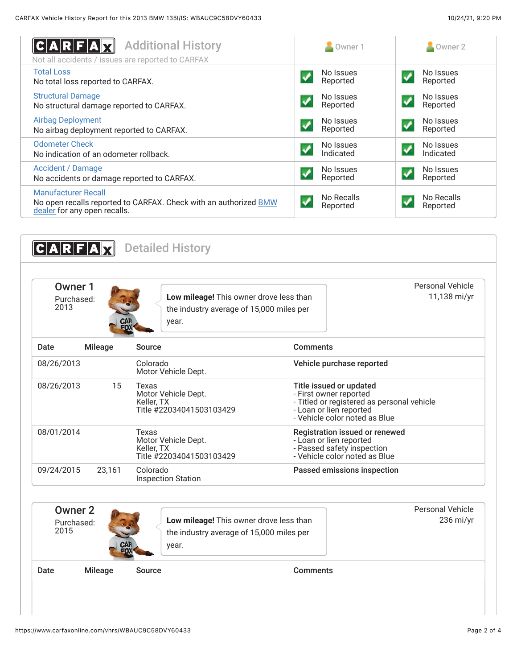<span id="page-1-0"></span>

| <b>Additional History</b><br>ARFA<br>Not all accidents / issues are reported to CARFAX                                                | Owner 1                | Owner 2                |
|---------------------------------------------------------------------------------------------------------------------------------------|------------------------|------------------------|
| <b>Total Loss</b>                                                                                                                     | No Issues              | No Issues              |
| No total loss reported to CARFAX.                                                                                                     | Reported               | Reported               |
| <b>Structural Damage</b>                                                                                                              | No Issues              | No Issues              |
| No structural damage reported to CARFAX.                                                                                              | Reported               | Reported               |
| <b>Airbag Deployment</b>                                                                                                              | No Issues              | No Issues              |
| No airbag deployment reported to CARFAX.                                                                                              | Reported               | Reported               |
| <b>Odometer Check</b>                                                                                                                 | No Issues              | No Issues              |
| No indication of an odometer rollback.                                                                                                | Indicated              | Indicated              |
| <b>Accident / Damage</b>                                                                                                              | No Issues              | No Issues              |
| No accidents or damage reported to CARFAX.                                                                                            | Reported               | Reported               |
| <b>Manufacturer Recall</b><br>No open recalls reported to CARFAX. Check with an authorized <b>BMW</b><br>dealer for any open recalls. | No Recalls<br>Reported | No Recalls<br>Reported |

<span id="page-1-1"></span>

|            |                | the industry average of 15,000 miles per<br>year.                      |                                                                                                               |                                            |
|------------|----------------|------------------------------------------------------------------------|---------------------------------------------------------------------------------------------------------------|--------------------------------------------|
| Date       | <b>Mileage</b> | Source                                                                 | <b>Comments</b>                                                                                               |                                            |
| 08/26/2013 |                | Colorado<br>Motor Vehicle Dept.                                        | Vehicle purchase reported                                                                                     |                                            |
| 08/26/2013 | 15             | Texas<br>Motor Vehicle Dept.<br>Keller, TX<br>Title #22034041503103429 | Title issued or updated<br>- First owner reported<br>- Loan or lien reported<br>- Vehicle color noted as Blue | - Titled or registered as personal vehicle |
| 08/01/2014 |                | Texas<br>Motor Vehicle Dept.<br>Keller, TX<br>Title #22034041503103429 | - Loan or lien reported<br>- Passed safety inspection<br>- Vehicle color noted as Blue                        | Registration issued or renewed             |
| 09/24/2015 | 23,161         | Colorado<br><b>Inspection Station</b>                                  | Passed emissions inspection                                                                                   |                                            |

https://www.carfaxonline.com/vhrs/WBAUC9C58DVY60433 Page 2 of 4

Date Mileage Source **Comments**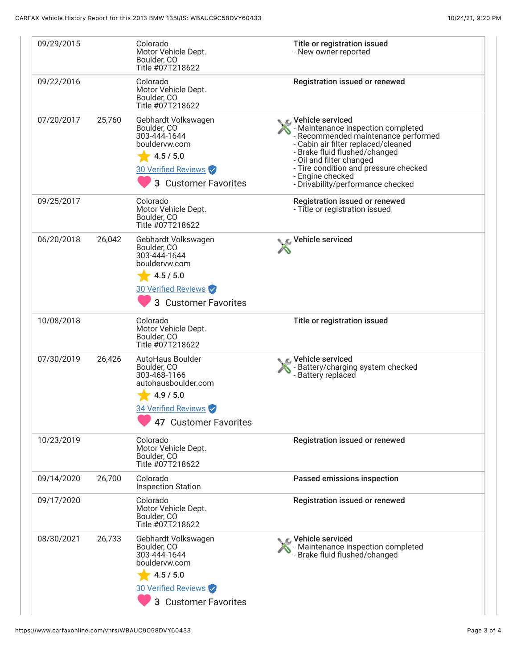| 09/29/2015 |        | Colorado<br>Motor Vehicle Dept.<br>Boulder, CO<br>Title #07T218622                                                                  | Title or registration issued<br>- New owner reported                                                                                                                                                                                                                                                  |
|------------|--------|-------------------------------------------------------------------------------------------------------------------------------------|-------------------------------------------------------------------------------------------------------------------------------------------------------------------------------------------------------------------------------------------------------------------------------------------------------|
| 09/22/2016 |        | Colorado<br>Motor Vehicle Dept.<br>Boulder, CO<br>Title #07T218622                                                                  | Registration issued or renewed                                                                                                                                                                                                                                                                        |
| 07/20/2017 | 25,760 | Gebhardt Volkswagen<br>Boulder, CO<br>303-444-1644<br>bouldervw.com<br>4.5 / 5.0<br>30 Verified Reviews<br>3 Customer Favorites     | C Vehicle serviced<br>- Maintenance inspection completed<br>- Recommended maintenance performed<br>- Cabin air filter replaced/cleaned<br>- Brake fluid flushed/changed<br>- Oil and filter changed<br>- Tire condition and pressure checked<br>- Engine checked<br>- Drivability/performance checked |
| 09/25/2017 |        | Colorado<br>Motor Vehicle Dept.<br>Boulder, CO<br>Title #07T218622                                                                  | Registration issued or renewed<br>- Title or registration issued                                                                                                                                                                                                                                      |
| 06/20/2018 | 26,042 | Gebhardt Volkswagen<br>Boulder, CO<br>303-444-1644<br>bouldervw.com<br>4.5 / 5.0<br>30 Verified Reviews<br>3 Customer Favorites     | Vehicle serviced                                                                                                                                                                                                                                                                                      |
| 10/08/2018 |        | Colorado<br>Motor Vehicle Dept.<br>Boulder, CO<br>Title #07T218622                                                                  | Title or registration issued                                                                                                                                                                                                                                                                          |
| 07/30/2019 | 26,426 | AutoHaus Boulder<br>Boulder, CO<br>303-468-1166<br>autohausboulder.com<br>4.9 / 5.0<br>34 Verified Reviews<br>47 Customer Favorites | Vehicle serviced<br>- Battery/charging system checked<br>- Battery replaced                                                                                                                                                                                                                           |
| 10/23/2019 |        | Colorado<br>Motor Vehicle Dept.<br>Boulder, CO<br>Title #07T218622                                                                  | <b>Registration issued or renewed</b>                                                                                                                                                                                                                                                                 |
| 09/14/2020 | 26,700 | Colorado<br><b>Inspection Station</b>                                                                                               | Passed emissions inspection                                                                                                                                                                                                                                                                           |
| 09/17/2020 |        | Colorado<br>Motor Vehicle Dept.<br>Boulder, CO<br>Title #07T218622                                                                  | <b>Registration issued or renewed</b>                                                                                                                                                                                                                                                                 |
| 08/30/2021 | 26,733 | Gebhardt Volkswagen<br>Boulder, CO<br>303-444-1644<br>bouldervw.com<br>4.5 / 5.0<br>30 Verified Reviews<br>3 Customer Favorites     | C Vehicle serviced<br>- Maintenance inspection completed<br>- Brake fluid flushed/changed                                                                                                                                                                                                             |